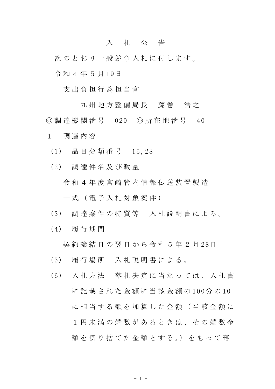## 入 札 公 告

次のとおり一般競争入札に付します。

令 和 4 年 5 月 19日

支 出 負 担 行 為 担 当 官

九 州 地 方 整 備 局 長 善 藤 巻 善 浩 之 ◎ 調 達 機 関 番 号 020 ◎ 所 在 地 番 号 40

- 1 調 達 内 容
	- (1) 品 目 分 類 番 号 15,28
	- (2) 調 達 件 名 及 び 数 量

令 和 4 年 度 宮 崎 管 内 情 報 伝 送 装 置 製 造

一 式 ( 電 子 入 札 対 象 案 件 )

- (3) 調 達 案 件 の 特 質 等 入 札 説 明 書 に よ る 。
- (4) 履 行 期 間

契 約 締 結 日 の 翌 日 か ら 令 和 5 年 2 月 28日

(5) 履 行 場 所 入 札 説 明 書 に よ る 。

(6) 入 札 方 法 落 札 決 定 に 当 た っ て は 、 入 札 書 に 記 載 さ れ た 金 額 に 当 該 金 額 の 100分 の 10 に相 当 す る 額 を 加 算 し た 金 額 ( 当 該 金 額 に 1 円 未 満 の 端 数 が あ る と き は 、 そ の 端 数 金 額を切り捨てた金額とする。)をもって落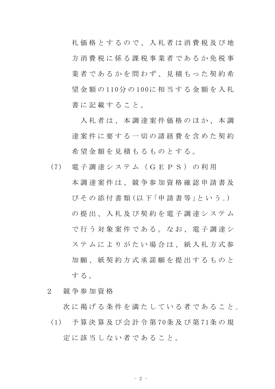札 価 格 と す る の で 、 入 札 者 は 消 費 税 及 び 地 方消費税に係る課税事業者であるか免税事 業者であるかを問わず、見積もった契約希 望 金 額 の 110分 の 100に 相 当 す る 金 額 を 入 札 書に記載すること。

入札者は、本 調 達 案 件 価 格 の ほ か 、 本 調 達案件に要する一切の諸経費を含めた契約 希 望 金 額 を 見 積 も る も の と す る 。

- (7) 電 子 調 達 シ ス テ ム ( G E P S ) の 利 用 本 調 達 案 件 は 、 競 争 参 加 資 格 確 認 申 請 書 及 び そ の 添 付 書 類 (以 下 「申 請 書 等 」と い う 。) の 提 出 、 入 札 及 び 契 約 を 電 子 調 達 シ ス テ ム で行う対象案件である。なお、電子調達シ ステムに よ り が た い 場 合 は 、 紙 入 札 方 式 参 加 願 、 紙 契 約 方 式 承 諾 願 を 提 出 す る も の と する.
- 2 競 争 参 加 資 格

次 に 掲 げ る 条 件 を 満 た し て い る 者 で あ る こ と 。

(1) 予 算 決 算 及 び 会 計 令 第 70条 及 び 第 71条 の 規 定 に 該 当 し な い 者 で あ る こ と 。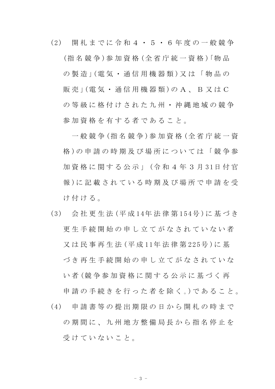(2) 開 札 ま で に 令 和 4 ・ 5 ・ 6 年 度 の 一 般 競 争 (指 名 競 争 )参 加 資 格 (全 省 庁 統 一 資 格 )「物 品 の 製 造 」(電気 · 通信 用 機 器 類) 又 は 「 物 品 の 販 売 」 ( 電 気 · 通 信 用 機 器 類 ) の A 、 B 又 は C の 等 級 に 格 付 け さ れ た 九 州 ・ 沖 縄 地 域 の 競 争 参加資格を有する者であること。

一 般 競 争 (指 名 競 争 )参 加 資 格 (全 省 庁 統 一 資 格 )の 申 請 の 時 期 及 び 場 所 に つ い て は 「 競 争 参 加 資 格 に 関 す る 公 示 」 (令 和 4 年 3 月 31日 付 官 報 )に 記 載 さ れ て い る 時 期 及 び 場 所 で 申 請 を 受 け付ける。

- (3) 会 社 更 生 法 (平 成 14年 法 律 第 154号 )に 基 づ き 更生手続開始の申し立てがなされていない者 又 は 民 事 再 生 法 (平 成 11年 法 律 第 225号 )に 基 づ き 再 生 手 続 開 始 の 申 し 立 て が な さ れ て い な い 者 (競 争 参 加 資 格 に 関 す る 公 示 に 基 づ く 再 申 請 の 手 続 き を 行 っ た 者 を 除 く 。)で あ る こ と 。
- (4) 申 請 書 等 の 提 出 期 限 の 日 か ら 開 札 の 時 ま で の 期 間 に 、 九 州 地 方 整 備 局 長 か ら 指 名 停 止 を 受けていないこと。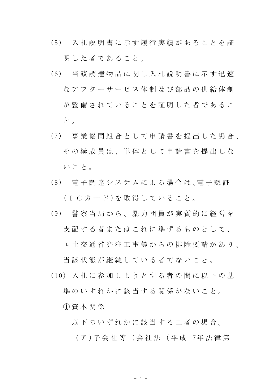- (5) 入 札 説 明 書 に 示 す 履 行 実 績 が あ る こ と を 証 明 した者であること。
- (6) 当 該 調 達 物 品 に 関 し 入 札 説 明 書 に 示 す 迅 速 な ア フ タ ー サ ー ビ ス 体 制 及 び 部 品 の 供 給 体 制 が整備されていることを証明した者であるこ と 。
- (7) 事 業 協 同 組 合 と し て 申 請 書 を 提 出 し た 場 合 、 その構成員は、単体として申請書を提出しな い こ と 。
- (8) 電 子 調 達 シ ス テ ム に よ る 場 合 は 、電 子 認 証 (ICカード)を取得していること。
- (9) 警 察 当 局 か ら 、 暴 力 団 員 が 実 質 的 に 経 営 を 支配する者またはこれに準ずるものとして、 国 土 交 通 省 発 注 工 事 等 か ら の 排 除 要 請 が あ り 、

当 該 状 態 が 継 続 し て い る 者 で な い こ と 。

(10) 入 札 に 参 加 し よ う と す る 者 の 間 に 以 下 の 基 進のいずれかに該当する関係がないこと。

① 資 本 関 係

- 以下のいずれかに該当する二者の場合。
	- ( ア )子 会 社 等 ( 会 社 法 ( 平 成 17年 法 律 第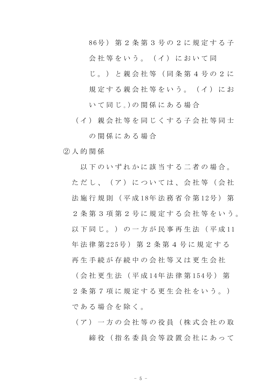86号 ) 第 2 条 第 3 号 の 2 に 規 定 す る 子

会社等をいう。(イ)において同

じ 。 ) と 親 会 社 等 ( 同 条 第 4 号 の 2 に

規定する親会社等をいう。(イ)にお

いて同じ。)の関係にある場合

(イ) 親会社等を同じくする子会社等同士

の関係にある場合

② 人 的 関 係

以下のいずれかに該当する二者の場合。 ただし、(ア)については、会社等(会社 法 施 行 規 則 ( 平 成 18年 法 務 省 令 第 12号 ) 第 2 条 第 3 項 第 2 号 に 規 定 す る 会 社 等 を い う 。 以 下 同 じ 。 ) の 一 方 が 民 事 再 生 法 ( 平 成 11 年 法 律 第 225号 ) 第 2 条 第 4 号 に 規 定 す る 再 生 手 続 が 存 続 中 の 会 社 等 又 は 更 生 会 社 ( 会 社 更 生 法 ( 平 成 14年 法 律 第 154号 ) 第

2 条 第 7 項 に 規 定 す る 更 生 会 社 を い う 。) である場合を除く。

( ア ) 一 方 の 会 社 等 の 役 員 ( 株 式 会 社 の 取 締役 (指名委員会等設置会社にあって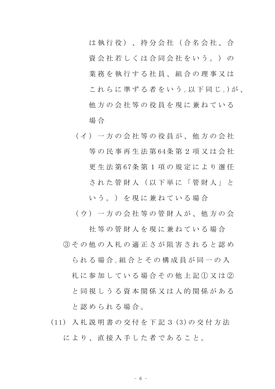は 執 行 役 ) 、 持 分 会 社 ( 合 名 会 社 、 合 資 会 社 若 し く は 合 同 会 社 を い う 。 ) の 業務を執行する社員、組合の理事又は これらに準ずる者をいう。以下同じ。)が、 他方の会社等の役員を現に兼ねている 場 合

( イ ) 一 方 の 会 社 等 の 役 員 が 、 他 方 の 会 社 等 の 民 事 再 生 法 第 64条 第 2 項 又 は 会 社 更 生 法 第 67条 第 1 項 の 規 定 に よ り 選 任 された管財人(以下単に「管財人」と

い う。) を現に兼ねている場合

(ウ) 一方の会社等の管財人が、他方の会

社 等 の 管 財 人 を 現 に 兼 ね て い る 場 合 ③ そ の 他 の 入 札 の 適 正 さ が 阻 害 さ れ る と 認 め

**ら れ る 場 合 。組 合 と そ の 構 成 員 が 同 一 の 入** 札 に 参 加 し て い る 場 合 そ の 他 上 記 ① 又 は ② と同 視 し う る 資 本 関 係 又 は 人 的 関 係 が あ る と 認 め ら れ る 場 合 。

(11) 入 札 説 明 書 の 交 付 を 下 記 3 (3)の 交 付 方 法 により、直接入手した者であること。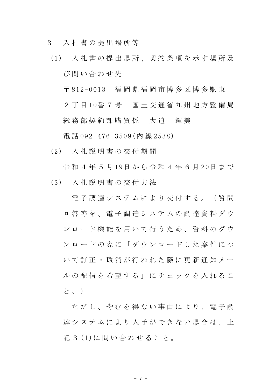- 3 入 札 書 の 提 出 場 所 等
- (1) 入 札 書 の 提 出 場 所 、 契 約 条 項 を 示 す 場 所 及 び 問 い 合 わ せ 先

〒 812-0013 福 岡 県 福 岡 市 博 多 区 博 多 駅 東

2 丁 目 10番 7 号 国 土 交 通 省 九 州 地 方 整 備 局 総 務 部 契 約 課 購 買 係 大 迫 輝 美

電 話 092-476-3509(内 線 2538)

(2) 入 札 説 明 書 の 交 付 期 間

令 和 4 年 5 月 19日 か ら 令 和 4 年 6 月 20日 ま で

(3) 入 札 説 明 書 の 交 付 方 法

電子調達システムにより交付する。(質問 回 答 等 を 、 電 子 調 達 シ ス テ ム の 調 達 資 料 ダ ウ ン ロ ー ド 機 能 を 用 い て 行 う た め 、 資 料 の ダ ウ ン ロ ー ド の 際 に 「 ダ ウ ン ロ ー ド し た 案 件 に つ い て 訂 正 ・ 取 消 が 行 わ れ た 際 に 更 新 通 知 メ ー ル の 配 信 を 希 望 す る 」 に チ ェ ッ ク を 入 れ る こ と。)

ただし、やむを得ない事由により、電子調 達 シ ス テ ム に よ り 入 手 が で き な い 場 合 は 、 上 記 3 (1)に 問 い 合 わ せ る こ と。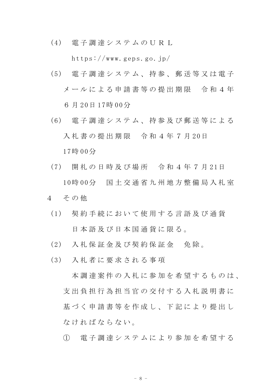(4) 電 子 調 達 シ ス テ ム の U R L

https://www.geps.go.jp/

- (5) 電 子 調 達 シ ス テ ム 、 持 参 、 郵 送 等 又 は 電 子 メールによる申請書等の提出期限 令和4年 6 月 20日 17時 00分
- (6) 電 子 調 達 シ ス テ ム 、 持 参 及 び 郵 送 等 に よ る 入札書の提出期限 令和4年7月20日 17時 00分
- (7) 開 札 の 日 時 及 び 場 所 令 和 4 年 7 月 21日 10時 00分 国 土 交 通 省 九 州 地 方 整 備 局 入 札 室
- 4 そ の 他
	- (1) 契 約 手 続 に お い て 使 用 す る 言 語 及 び 通 貨 日本語及び日本国通貨に限る。
	- (2) 入札保証金及び契約保証金 免除。
	- (3) 入 札 者 に 要 求 さ れ る 事 項

本調達案件の入札に参加を希望するものは、 支 出 負 担 行 為 担 当 官 の 交 付 す る 入 札 説 明 書 に 基づく申請書等を作成し、下記により提出し な け れ ば な ら な い 。

① 電 子 調 達 シ ス テ ム に よ り 参 加 を 希 望 す る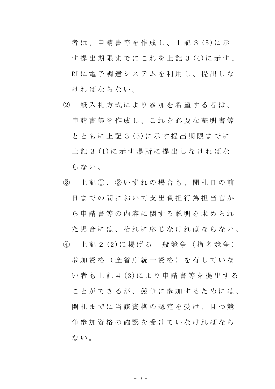者は、申請書等を作成し、上記3(5)に示 す 提 出 期 限 ま で に こ れ を 上 記 3 (4)に 示 す U RLに 電 子 調 達 シ ス テ ム を 利 用 し 、 提 出 し な ければならない。

- ② 紙 入 札 方 式 に よ り 参 加 を 希 望 す る 者 は 、 申請書等を作成し、これを必要な証明書等 と と も に 上 記 3 (5)に 示 す 提 出 期 限 ま で に 上 記 3 (1)に 示 す 場 所 に 提 出 し な け れ ば な らない。
- ③ 上 記 ① 、 ② い ず れ の 場 合 も 、 開 札 日 の 前 日までの間において支出負担行為担当官か ら 申 請 書 等 の 内 容 に 関 す る 説 明 を 求 め ら れ た 場 合 に は 、 そ れ に 応 じ な け れ ば な ら な い 。
- ④ 上 記 2 (2)に 掲 げ る 一 般 競 争 ( 指 名 競 争 ) 参 加 資 格 ( 全 省 庁 統 一 資 格 ) を 有 し て い な い 者 も 上 記 4 (3)に よ り 申 請 書 等 を 提 出 す る こ と が で き る が 、 競 争 に 参 加 す る た め に は 、 開 札 ま で に 当 該 資 格 の 認 定 を 受 け 、 且 つ 競 争 参 加 資 格 の 確 認 を 受 け て い な け れ ば な ら な い 。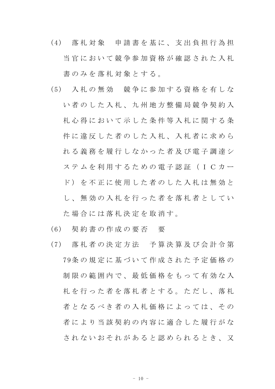- (4) 落 札 対 象 申 請 書 を 基 に 、 支 出 負 担 行 為 担 当官において競争参加資格が確認された入札 書のみを落札対象とする。
- (5) 入 札 の 無 効 競 争 に 参 加 す る 資 格 を 有 し な い 者 の し た 入 札 、 九 州 地 方 整 備 局 競 争 契 約 入 札 心 得 に お い て 示 し た 条 件 等 入 札 に 関 す る 条 件に違反した者のした入札、入札者に求めら れ る 義 務 を 履 行 し な か っ た 者 及 び 電 子 調 達 シ ス テ ム を 利 用 す る た め の 電 子 認 証 ( I C カ ー ド) を不正に使用した者のした入札は無効と し 、 無 効 の 入 札 を 行 っ た 者 を 落 札 者 と し て い た 場 合 に は 落 札 決 定 を 取 消 す 。
- (6) 契 約 書 の 作 成 の 要 否 要
- (7) 落 札 者 の 決 定 方 法 予 算 決 算 及 び 会 計 令 第 79条 の 規 定 に 基 づ い て 作 成 さ れ た 予 定 価 格 の 制限の範囲内で、最低価格をもって有効な入 札を行った者を落札者とする。ただし、落札 者 と な る べ き 者 の 入 札 価 格 に よ っ て は 、 そ の 者により当該契約の内容に適合した履行がな され な い お そ れ が あ る と 認 め ら れ る と き 、 又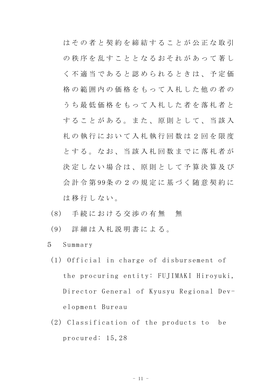はその者と契約を締結することが公正な取引 の秩序を乱すこととなるおそれがあって著し く 不 適 当 で あ る と 認 め ら れ る と き は 、 予 定 価 格の範囲内の価格をもって入札した他の者の う ち 最 低 価 格 を も っ て 入 札 し た 者 を 落 札 者 と することがある。また、原則として、当該入 札 の 執 行 に お い て 入 札 執 行 回 数 は 2 回 を 限 度 と す る 。 な お 、 当 該 入 札 回 数 ま で に 落 札 者 が 決定しない場合は、原則として予算決算及び 会 計 令 第 99条 の 2 の 規 定 に 基 づ く 随 意 契 約 に は移行しない。

- (8) 手続における交渉の有無 無
- (9) 詳 細 は 入 札 説 明 書 に よ る 。
- 5 Summary
	- (1) Official in charge of disbursement of the procuring entity: FUJIMAKI Hiroyuki, Director General of Kyusyu Regional Development Bureau
	- (2) Classification of the products to be procured: 15,28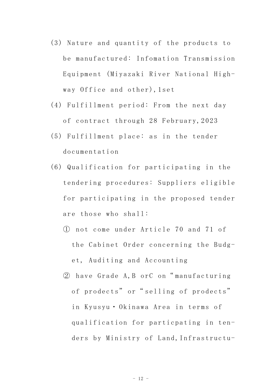- (3) Nature and quantity of the products to be manufactured: Infomation Transmission Equipment (Miyazaki River National Highway Office and other),1set
- (4) Fulfillment period: From the next day of contract through 28 February,2023
- (5) Fulfillment place: as in the tender documentation
- (6) Qualification for participating in the tendering procedures: Suppliers eligible for participating in the proposed tender are those who shall:
	- ① not come under Article 70 and 71 of the Cabinet Order concerning the Budget, Auditing and Accounting
	- ② have Grade A,B orC on" manufacturing of prodects" or "selling of prodects" in Kyusyu・ Okinawa Area in terms of qualification for particpating in tenders by Ministry of Land,Infrastructu-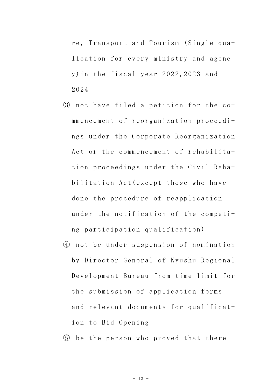re, Transport and Tourism (Single qualication for every ministry and agency)in the fiscal year 2022,2023 and 2024

- ③ not have filed a petition for the commencement of reorganization proceedings under the Corporate Reorganization Act or the commencement of rehabilitation proceedings under the Civil Rehabilitation Act(except those who have done the procedure of reapplication under the notification of the competing participation qualification)
- ④ not be under suspension of nomination by Director General of Kyushu Regional Development Bureau from time limit for the submission of application forms and relevant documents for qualification to Bid Opening

⑤ be the person who proved that there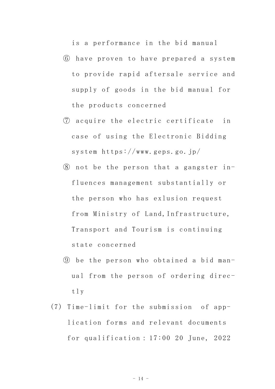is a performance in the bid manual

- ⑥ have proven to have prepared a system to provide rapid aftersale service and supply of goods in the bid manual for the products concerned
- ⑦ acquire the electric certificate in case of using the Electronic Bidding system https://www.geps.go.jp/
- $\circledR$  not be the person that a gangster influences management substantially or the person who has exlusion request from Ministry of Land, Infrastructure, Transport and Tourism is continuing state concerned
- ⑨ be the person who obtained a bid manual from the person of ordering directly
- (7) Time-limit for the submission of application forms and relevant documents for qualification: 17:00 20 June, 2022

 $-14 -$